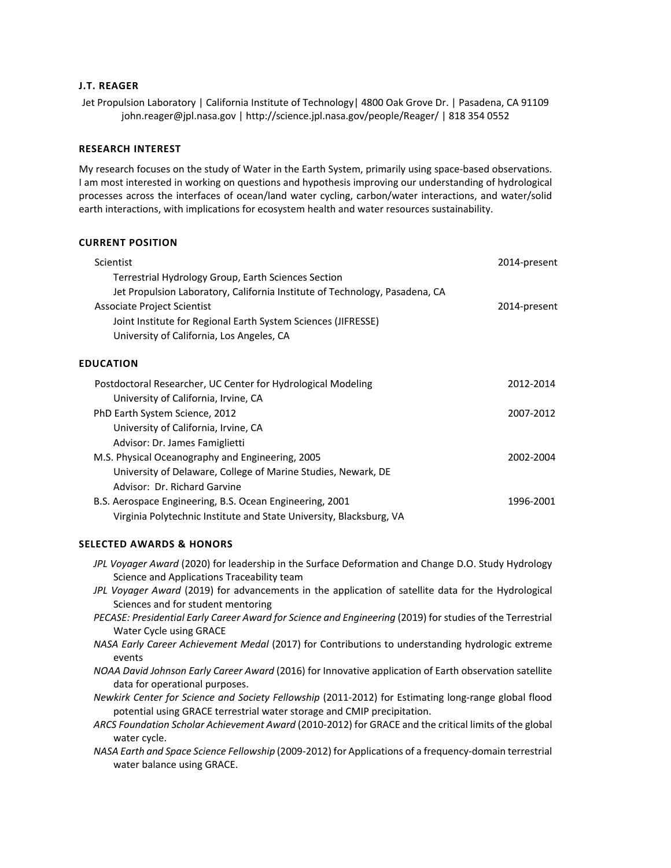# **J.T. REAGER**

Jet Propulsion Laboratory | California Institute of Technology | 4800 Oak Grove Dr. | Pasadena, CA 91109 john.reager@jpl.nasa.gov | http://science.jpl.nasa.gov/people/Reager/ | 818 354 0552

# **RESEARCH INTEREST**

My research focuses on the study of Water in the Earth System, primarily using space‐based observations. I am most interested in working on questions and hypothesis improving our understanding of hydrological processes across the interfaces of ocean/land water cycling, carbon/water interactions, and water/solid earth interactions, with implications for ecosystem health and water resources sustainability.

# **CURRENT POSITION**

| Scientist                                                                   | 2014-present |
|-----------------------------------------------------------------------------|--------------|
| Terrestrial Hydrology Group, Earth Sciences Section                         |              |
| Jet Propulsion Laboratory, California Institute of Technology, Pasadena, CA |              |
| Associate Project Scientist                                                 | 2014-present |
| Joint Institute for Regional Earth System Sciences (JIFRESSE)               |              |
| University of California, Los Angeles, CA                                   |              |
| <b>EDUCATION</b>                                                            |              |
| Postdoctoral Researcher, UC Center for Hydrological Modeling                | 2012-2014    |
| University of California, Irvine, CA                                        |              |
| PhD Earth System Science, 2012                                              | 2007-2012    |
| University of California, Irvine, CA                                        |              |
| Advisor: Dr. James Famiglietti                                              |              |
| M.S. Physical Oceanography and Engineering, 2005                            | 2002-2004    |
| University of Delaware, College of Marine Studies, Newark, DE               |              |

| Advisor: Dr. Richard Garvine                                        |           |
|---------------------------------------------------------------------|-----------|
| B.S. Aerospace Engineering, B.S. Ocean Engineering, 2001            | 1996-2001 |
| Virginia Polytechnic Institute and State University, Blacksburg, VA |           |

# **SELECTED AWARDS & HONORS**

| JPL Voyager Award (2020) for leadership in the Surface Deformation and Change D.O. Study Hydrology |  |
|----------------------------------------------------------------------------------------------------|--|
| Science and Applications Traceability team                                                         |  |

- *JPL Voyager Award* (2019) for advancements in the application of satellite data for the Hydrological Sciences and for student mentoring
- *PECASE: Presidential Early Career Award for Science and Engineering* (2019) for studies of the Terrestrial Water Cycle using GRACE
- *NASA Early Career Achievement Medal* (2017) for Contributions to understanding hydrologic extreme events
- *NOAA David Johnson Early Career Award* (2016) for Innovative application of Earth observation satellite data for operational purposes.
- *Newkirk Center for Science and Society Fellowship* (2011-2012) for Estimating long-range global flood potential using GRACE terrestrial water storage and CMIP precipitation.
- *ARCS Foundation Scholar Achievement Award* (2010‐2012) for GRACE and the critical limits of the global water cycle.
- *NASA Earth and Space Science Fellowship* (2009‐2012) for Applications of a frequency‐domain terrestrial water balance using GRACE.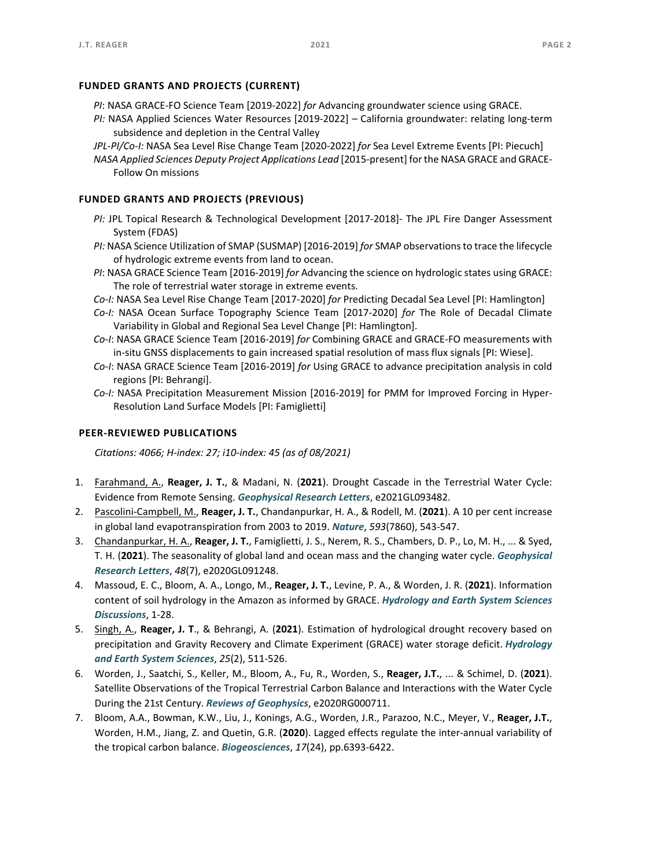### **FUNDED GRANTS AND PROJECTS (CURRENT)**

- *PI*: NASA GRACE‐FO Science Team [2019‐2022] *for* Advancing groundwater science using GRACE.
- *PI:* NASA Applied Sciences Water Resources [2019‐2022] California groundwater: relating long‐term subsidence and depletion in the Central Valley
- *JPL‐PI/Co‐I:* NASA Sea Level Rise Change Team [2020‐2022] *for* Sea Level Extreme Events [PI: Piecuch]
- *NASA Applied Sciences Deputy Project Applications Lead* [2015‐present] for the NASA GRACE and GRACE‐ Follow On missions

### **FUNDED GRANTS AND PROJECTS (PREVIOUS)**

- *PI:* JPL Topical Research & Technological Development [2017‐2018]‐ The JPL Fire Danger Assessment System (FDAS)
- *PI:* NASA Science Utilization of SMAP (SUSMAP) [2016‐2019] *for* SMAP observations to trace the lifecycle of hydrologic extreme events from land to ocean.
- *PI*: NASA GRACE Science Team [2016‐2019] *for* Advancing the science on hydrologic states using GRACE: The role of terrestrial water storage in extreme events.
- *Co‐I:* NASA Sea Level Rise Change Team [2017‐2020] *for* Predicting Decadal Sea Level [PI: Hamlington]
- *Co‐I:*  NASA Ocean Surface Topography Science Team [2017‐2020] *for* The Role of Decadal Climate Variability in Global and Regional Sea Level Change [PI: Hamlington].
- *Co‐I*: NASA GRACE Science Team [2016‐2019] *for* Combining GRACE and GRACE‐FO measurements with in‐situ GNSS displacements to gain increased spatial resolution of mass flux signals [PI: Wiese].
- *Co‐I*: NASA GRACE Science Team [2016‐2019] *for* Using GRACE to advance precipitation analysis in cold regions [PI: Behrangi].
- *Co‐I:* NASA Precipitation Measurement Mission [2016‐2019] for PMM for Improved Forcing in Hyper‐ Resolution Land Surface Models [PI: Famiglietti]

## **PEER‐REVIEWED PUBLICATIONS**

*Citations: 4066; H‐index: 27; i10‐index: 45 (as of 08/2021)* 

- 1. Farahmand, A., **Reager, J. T.**, & Madani, N. (**2021**). Drought Cascade in the Terrestrial Water Cycle: Evidence from Remote Sensing. *Geophysical Research Letters*, e2021GL093482.
- 2. Pascolini‐Campbell, M., **Reager, J. T.**, Chandanpurkar, H. A., & Rodell, M. (**2021**). A 10 per cent increase in global land evapotranspiration from 2003 to 2019. *Nature*, *593*(7860), 543‐547.
- 3. Chandanpurkar, H. A., **Reager, J. T.**, Famiglietti, J. S., Nerem, R. S., Chambers, D. P., Lo, M. H., ... & Syed, T. H. (**2021**). The seasonality of global land and ocean mass and the changing water cycle. *Geophysical Research Letters*, *48*(7), e2020GL091248.
- 4. Massoud, E. C., Bloom, A. A., Longo, M., **Reager, J. T.**, Levine, P. A., & Worden, J. R. (**2021**). Information content of soil hydrology in the Amazon as informed by GRACE. *Hydrology and Earth System Sciences Discussions*, 1‐28.
- 5. Singh, A., **Reager, J. T**., & Behrangi, A. (**2021**). Estimation of hydrological drought recovery based on precipitation and Gravity Recovery and Climate Experiment (GRACE) water storage deficit. *Hydrology and Earth System Sciences*, *25*(2), 511‐526.
- 6. Worden, J., Saatchi, S., Keller, M., Bloom, A., Fu, R., Worden, S., **Reager, J.T.**, ... & Schimel, D. (**2021**). Satellite Observations of the Tropical Terrestrial Carbon Balance and Interactions with the Water Cycle During the 21st Century. *Reviews of Geophysics*, e2020RG000711.
- 7. Bloom, A.A., Bowman, K.W., Liu, J., Konings, A.G., Worden, J.R., Parazoo, N.C., Meyer, V., **Reager, J.T.**, Worden, H.M., Jiang, Z. and Quetin, G.R. (**2020**). Lagged effects regulate the inter‐annual variability of the tropical carbon balance. *Biogeosciences*, *17*(24), pp.6393‐6422.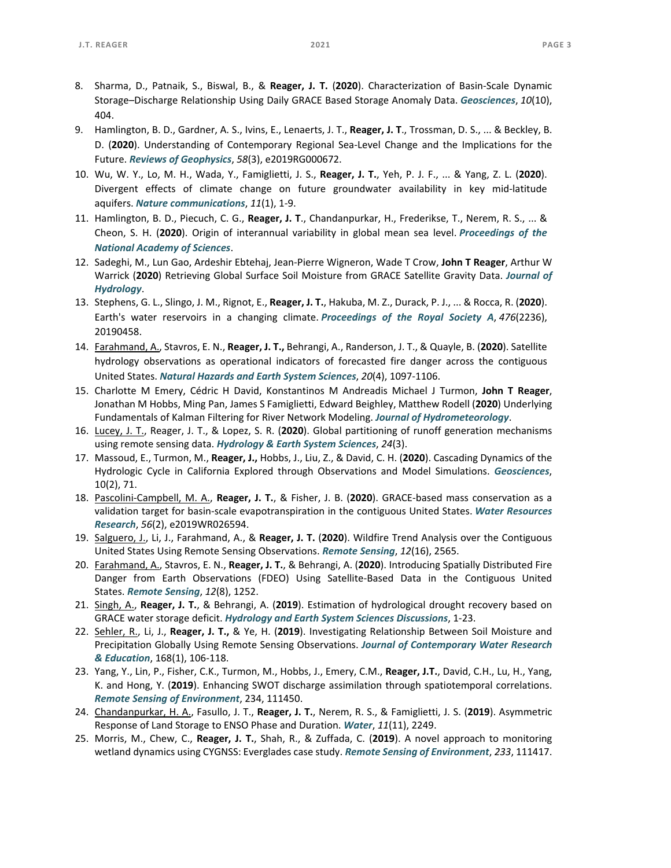- 8. Sharma, D., Patnaik, S., Biswal, B., & **Reager, J. T.**  (**2020**). Characterization of Basin‐Scale Dynamic Storage–Discharge Relationship Using Daily GRACE Based Storage Anomaly Data. *Geosciences*, *10*(10), 404.
- 9. Hamlington, B. D., Gardner, A. S., Ivins, E., Lenaerts, J. T., **Reager, J. T**., Trossman, D. S., ... & Beckley, B. D. (2020). Understanding of Contemporary Regional Sea-Level Change and the Implications for the Future. *Reviews of Geophysics*, *58*(3), e2019RG000672.
- 10. Wu, W. Y., Lo, M. H., Wada, Y., Famiglietti, J. S., **Reager, J. T.**, Yeh, P. J. F., ... & Yang, Z. L. (**2020**). Divergent effects of climate change on future groundwater availability in key mid-latitude aquifers. *Nature communications*, *11*(1), 1‐9.
- 11. Hamlington, B. D., Piecuch, C. G., **Reager, J. T**., Chandanpurkar, H., Frederikse, T., Nerem, R. S., ... & Cheon, S. H. (**2020**). Origin of interannual variability in global mean sea level. *Proceedings of the National Academy of Sciences*.
- 12. Sadeghi, M., Lun Gao, Ardeshir Ebtehaj, Jean‐Pierre Wigneron, Wade T Crow, **John T Reager**, Arthur W Warrick (**2020**) Retrieving Global Surface Soil Moisture from GRACE Satellite Gravity Data. *Journal of Hydrology*.
- 13. Stephens, G. L., Slingo, J. M., Rignot, E., **Reager, J. T.**, Hakuba, M. Z., Durack, P. J., ... & Rocca, R. (**2020**). Earth's water reservoirs in a changing climate. *Proceedings of the Royal Society A*, *476*(2236), 20190458.
- 14. Farahmand, A., Stavros, E. N., **Reager, J. T.,** Behrangi, A., Randerson, J. T., & Quayle, B. (**2020**). Satellite hydrology observations as operational indicators of forecasted fire danger across the contiguous United States. *Natural Hazards and Earth System Sciences*, *20*(4), 1097‐1106.
- 15. Charlotte M Emery, Cédric H David, Konstantinos M Andreadis Michael J Turmon, **John T Reager**, Jonathan M Hobbs, Ming Pan, James S Famiglietti, Edward Beighley, Matthew Rodell (**2020**) Underlying Fundamentals of Kalman Filtering for River Network Modeling. *Journal of Hydrometeorology*.
- 16. Lucey, J. T., Reager, J. T., & Lopez, S. R. (**2020**). Global partitioning of runoff generation mechanisms using remote sensing data. *Hydrology & Earth System Sciences*, *24*(3).
- 17. Massoud, E., Turmon, M., **Reager, J.,** Hobbs, J., Liu, Z., & David, C. H. (**2020**). Cascading Dynamics of the Hydrologic Cycle in California Explored through Observations and Model Simulations. *Geosciences*, 10(2), 71.
- 18. Pascolini‐Campbell, M. A., **Reager, J. T.**, & Fisher, J. B. (**2020**). GRACE‐based mass conservation as a validation target for basin‐scale evapotranspiration in the contiguous United States. *Water Resources Research*, *56*(2), e2019WR026594.
- 19. Salguero, J., Li, J., Farahmand, A., & **Reager, J. T.** (**2020**). Wildfire Trend Analysis over the Contiguous United States Using Remote Sensing Observations. *Remote Sensing*, *12*(16), 2565.
- 20. Farahmand, A., Stavros, E. N., **Reager, J. T.**, & Behrangi, A. (**2020**). Introducing Spatially Distributed Fire Danger from Earth Observations (FDEO) Using Satellite‐Based Data in the Contiguous United States. *Remote Sensing*, *12*(8), 1252.
- 21. Singh, A., **Reager, J. T.**, & Behrangi, A. (**2019**). Estimation of hydrological drought recovery based on GRACE water storage deficit. *Hydrology and Earth System Sciences Discussions*, 1‐23.
- 22. Sehler, R., Li, J., **Reager, J. T.,** & Ye, H. (**2019**). Investigating Relationship Between Soil Moisture and Precipitation Globally Using Remote Sensing Observations. *Journal of Contemporary Water Research & Education*, 168(1), 106‐118.
- 23. Yang, Y., Lin, P., Fisher, C.K., Turmon, M., Hobbs, J., Emery, C.M., **Reager, J.T.**, David, C.H., Lu, H., Yang, K. and Hong, Y. (**2019**). Enhancing SWOT discharge assimilation through spatiotemporal correlations. *Remote Sensing of Environment*, 234, 111450.
- 24. Chandanpurkar, H. A., Fasullo, J. T., **Reager, J. T.**, Nerem, R. S., & Famiglietti, J. S. (**2019**). Asymmetric Response of Land Storage to ENSO Phase and Duration. *Water*, *11*(11), 2249.
- 25. Morris, M., Chew, C., **Reager, J. T.**, Shah, R., & Zuffada, C. (**2019**). A novel approach to monitoring wetland dynamics using CYGNSS: Everglades case study. *Remote Sensing of Environment*, *233*, 111417.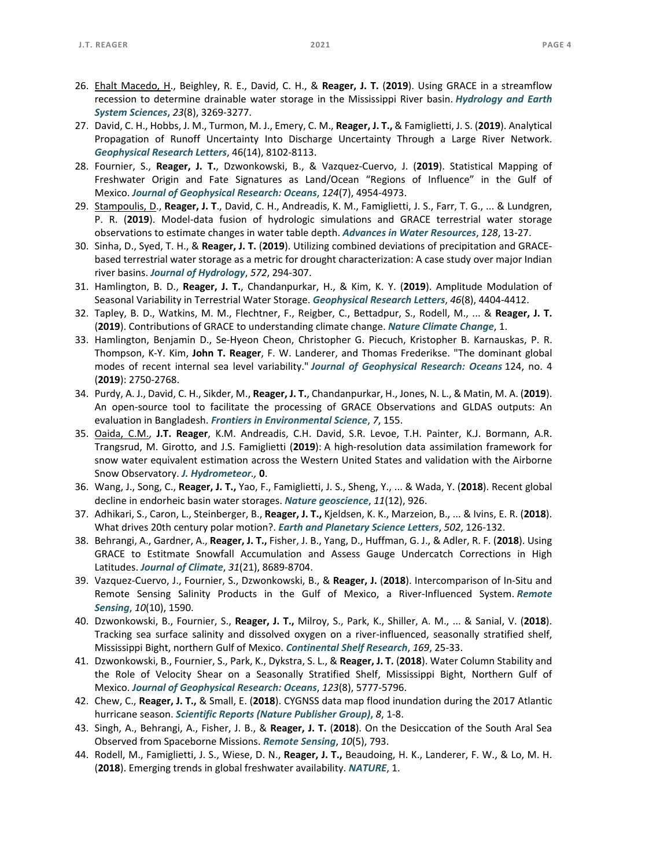- 27. David, C. H., Hobbs, J. M., Turmon, M. J., Emery, C. M., **Reager, J. T.,** & Famiglietti, J. S. (**2019**). Analytical Propagation of Runoff Uncertainty Into Discharge Uncertainty Through a Large River Network. *Geophysical Research Letters*, 46(14), 8102‐8113.
- 28. Fournier, S., **Reager, J. T.**, Dzwonkowski, B., & Vazquez‐Cuervo, J. (**2019**). Statistical Mapping of Freshwater Origin and Fate Signatures as Land/Ocean "Regions of Influence" in the Gulf of Mexico. *Journal of Geophysical Research: Oceans*, *124*(7), 4954‐4973.
- 29. Stampoulis, D., **Reager, J. T**., David, C. H., Andreadis, K. M., Famiglietti, J. S., Farr, T. G., ... & Lundgren, P. R. (**2019**). Model‐data fusion of hydrologic simulations and GRACE terrestrial water storage observations to estimate changes in water table depth. *Advances in Water Resources*, *128*, 13‐27.
- 30. Sinha, D., Syed, T. H., & **Reager, J. T.** (**2019**). Utilizing combined deviations of precipitation and GRACE‐ based terrestrial water storage as a metric for drought characterization: A case study over major Indian river basins. *Journal of Hydrology*, *572*, 294‐307.
- 31. Hamlington, B. D., **Reager, J. T.**, Chandanpurkar, H., & Kim, K. Y. (**2019**). Amplitude Modulation of Seasonal Variability in Terrestrial Water Storage. *Geophysical Research Letters*, *46*(8), 4404‐4412.
- 32. Tapley, B. D., Watkins, M. M., Flechtner, F., Reigber, C., Bettadpur, S., Rodell, M., ... & **Reager, J. T.** (**2019**). Contributions of GRACE to understanding climate change. *Nature Climate Change*, 1.
- 33. Hamlington, Benjamin D., Se‐Hyeon Cheon, Christopher G. Piecuch, Kristopher B. Karnauskas, P. R. Thompson, K‐Y. Kim, **John T. Reager**, F. W. Landerer, and Thomas Frederikse. "The dominant global modes of recent internal sea level variability." *Journal of Geophysical Research: Oceans* 124, no. 4 (**2019**): 2750‐2768.
- 34. Purdy, A. J., David, C. H., Sikder, M., **Reager, J. T.**, Chandanpurkar, H., Jones, N. L., & Matin, M. A. (**2019**). An open-source tool to facilitate the processing of GRACE Observations and GLDAS outputs: An evaluation in Bangladesh. *Frontiers in Environmental Science*, *7*, 155.
- 35. Oaida, C.M., **J.T. Reager**, K.M. Andreadis, C.H. David, S.R. Levoe, T.H. Painter, K.J. Bormann, A.R. Trangsrud, M. Girotto, and J.S. Famiglietti (**2019**): A high‐resolution data assimilation framework for snow water equivalent estimation across the Western United States and validation with the Airborne Snow Observatory. *J. Hydrometeor.,* **0**.
- 36. Wang, J., Song, C., **Reager, J. T.,** Yao, F., Famiglietti, J. S., Sheng, Y., ... & Wada, Y. (**2018**). Recent global decline in endorheic basin water storages. *Nature geoscience*, *11*(12), 926.
- 37. Adhikari, S., Caron, L., Steinberger, B., **Reager, J. T.,** Kjeldsen, K. K., Marzeion, B., ... & Ivins, E. R. (**2018**). What drives 20th century polar motion?. *Earth and Planetary Science Letters*, *502*, 126‐132.
- 38. Behrangi, A., Gardner, A., **Reager, J. T.,** Fisher, J. B., Yang, D., Huffman, G. J., & Adler, R. F. (**2018**). Using GRACE to Estitmate Snowfall Accumulation and Assess Gauge Undercatch Corrections in High Latitudes. *Journal of Climate*, *31*(21), 8689‐8704.
- 39. Vazquez‐Cuervo, J., Fournier, S., Dzwonkowski, B., & **Reager, J.** (**2018**). Intercomparison of In‐Situ and Remote Sensing Salinity Products in the Gulf of Mexico, a River‐Influenced System. *Remote Sensing*, *10*(10), 1590.
- 40. Dzwonkowski, B., Fournier, S., **Reager, J. T.,** Milroy, S., Park, K., Shiller, A. M., ... & Sanial, V. (**2018**). Tracking sea surface salinity and dissolved oxygen on a river-influenced, seasonally stratified shelf, Mississippi Bight, northern Gulf of Mexico. *Continental Shelf Research*, *169*, 25‐33.
- 41. Dzwonkowski, B., Fournier, S., Park, K., Dykstra, S. L., & **Reager, J. T.** (**2018**). Water Column Stability and the Role of Velocity Shear on a Seasonally Stratified Shelf, Mississippi Bight, Northern Gulf of Mexico. *Journal of Geophysical Research: Oceans*, *123*(8), 5777‐5796.
- 42. Chew, C., **Reager, J. T.,** & Small, E. (**2018**). CYGNSS data map flood inundation during the 2017 Atlantic hurricane season. *Scientific Reports (Nature Publisher Group)***,** *8*, 1‐8.
- 43. Singh, A., Behrangi, A., Fisher, J. B., & **Reager, J. T.** (**2018**). On the Desiccation of the South Aral Sea Observed from Spaceborne Missions. *Remote Sensing*, *10*(5), 793.
- 44. Rodell, M., Famiglietti, J. S., Wiese, D. N., **Reager, J. T.,** Beaudoing, H. K., Landerer, F. W., & Lo, M. H. (**2018**). Emerging trends in global freshwater availability. *NATURE*, 1.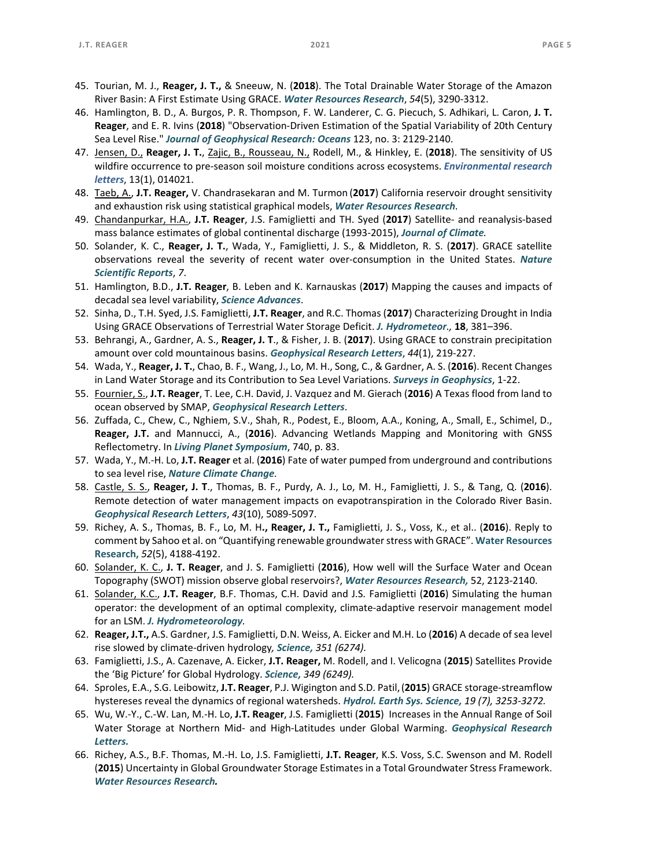- 45. Tourian, M. J., **Reager, J. T.,** & Sneeuw, N. (**2018**). The Total Drainable Water Storage of the Amazon River Basin: A First Estimate Using GRACE. *Water Resources Research*, *54*(5), 3290‐3312.
- 46. Hamlington, B. D., A. Burgos, P. R. Thompson, F. W. Landerer, C. G. Piecuch, S. Adhikari, L. Caron, **J. T. Reager**, and E. R. Ivins (**2018**) "Observation‐Driven Estimation of the Spatial Variability of 20th Century Sea Level Rise." *Journal of Geophysical Research: Oceans* 123, no. 3: 2129‐2140.
- 47. Jensen, D., **Reager, J. T.**, Zajic, B., Rousseau, N., Rodell, M., & Hinkley, E. (**2018**). The sensitivity of US wildfire occurrence to pre‐season soil moisture conditions across ecosystems. *Environmental research letters*, 13(1), 014021.
- 48. Taeb, A., **J.T. Reager,** V. Chandrasekaran and M. Turmon (**2017**) California reservoir drought sensitivity and exhaustion risk using statistical graphical models, *Water Resources Research.*
- 49. Chandanpurkar, H.A., **J.T. Reager**, J.S. Famiglietti and TH. Syed (**2017**) Satellite‐ and reanalysis‐based mass balance estimates of global continental discharge (1993‐2015), *Journal of Climate.*
- 50. Solander, K. C., **Reager, J. T.**, Wada, Y., Famiglietti, J. S., & Middleton, R. S. (**2017**). GRACE satellite observations reveal the severity of recent water over‐consumption in the United States. *Nature Scientific Reports*, *7*.
- 51. Hamlington, B.D., **J.T. Reager**, B. Leben and K. Karnauskas (**2017**) Mapping the causes and impacts of decadal sea level variability, *Science Advances*.
- 52. Sinha, D., T.H. Syed, J.S. Famiglietti, **J.T. Reager**, and R.C. Thomas (**2017**) Characterizing Drought in India Using GRACE Observations of Terrestrial Water Storage Deficit. *J. Hydrometeor.,* **18**, 381–396.
- 53. Behrangi, A., Gardner, A. S., **Reager, J. T**., & Fisher, J. B. (**2017**). Using GRACE to constrain precipitation amount over cold mountainous basins. *Geophysical Research Letters*, *44*(1), 219‐227.
- 54. Wada, Y., **Reager, J. T.**, Chao, B. F., Wang, J., Lo, M. H., Song, C., & Gardner, A. S. (**2016**). Recent Changes in Land Water Storage and its Contribution to Sea Level Variations. *Surveys in Geophysics*, 1‐22.
- 55. Fournier, S., **J.T. Reager**, T. Lee, C.H. David, J. Vazquez and M. Gierach (**2016**) A Texas flood from land to ocean observed by SMAP, *Geophysical Research Letters*.
- 56. Zuffada, C., Chew, C., Nghiem, S.V., Shah, R., Podest, E., Bloom, A.A., Koning, A., Small, E., Schimel, D., **Reager, J.T.** and Mannucci, A., (**2016**). Advancing Wetlands Mapping and Monitoring with GNSS Reflectometry. In *Living Planet Symposium*, 740, p. 83.
- 57. Wada, Y., M.‐H. Lo, **J.T. Reager** et al. (**2016**) Fate of water pumped from underground and contributions to sea level rise, *Nature Climate Change.*
- 58. Castle, S. S., **Reager, J. T**., Thomas, B. F., Purdy, A. J., Lo, M. H., Famiglietti, J. S., & Tang, Q. (**2016**). Remote detection of water management impacts on evapotranspiration in the Colorado River Basin. *Geophysical Research Letters*, *43*(10), 5089‐5097.
- 59. Richey, A. S., Thomas, B. F., Lo, M. H**., Reager, J. T.,** Famiglietti, J. S., Voss, K., et al.. (**2016**). Reply to comment by Sahoo et al. on "Quantifying renewable groundwater stress with GRACE". **Water Resources Research,** *52*(5), 4188‐4192.
- 60. Solander, K. C., **J. T. Reager**, and J. S. Famiglietti (**2016**), How well will the Surface Water and Ocean Topography (SWOT) mission observe global reservoirs?, *Water Resources Research,* 52, 2123‐2140.
- 61. Solander, K.C., **J.T. Reager**, B.F. Thomas, C.H. David and J.S. Famiglietti (**2016**) Simulating the human operator: the development of an optimal complexity, climate‐adaptive reservoir management model for an LSM. *J. Hydrometeorology.*
- 62. **Reager, J.T.,** A.S. Gardner, J.S. Famiglietti, D.N. Weiss, A. Eicker and M.H. Lo (**2016**) A decade of sea level rise slowed by climate‐driven hydrology*, Science, 351 (6274).*
- 63. Famiglietti, J.S., A. Cazenave, A. Eicker, **J.T. Reager,** M. Rodell, and I. Velicogna (**2015**) Satellites Provide the 'Big Picture' for Global Hydrology. *Science, 349 (6249).*
- 64. Sproles, E.A., S.G. Leibowitz, **J.T. Reager**, P.J. Wigington and S.D. Patil,(**2015**) GRACE storage‐streamflow hystereses reveal the dynamics of regional watersheds. *Hydrol. Earth Sys. Science, 19 (7), 3253‐3272.*
- 65. Wu, W.‐Y., C.‐W. Lan, M.‐H. Lo, **J.T. Reager**, J.S. Famiglietti (**2015**) Increases in the Annual Range of Soil Water Storage at Northern Mid‐ and High‐Latitudes under Global Warming. *Geophysical Research Letters.*
- 66. Richey, A.S., B.F. Thomas, M.‐H. Lo, J.S. Famiglietti, **J.T. Reager**, K.S. Voss, S.C. Swenson and M. Rodell (**2015**) Uncertainty in Global Groundwater Storage Estimates in a Total Groundwater Stress Framework. *Water Resources Research.*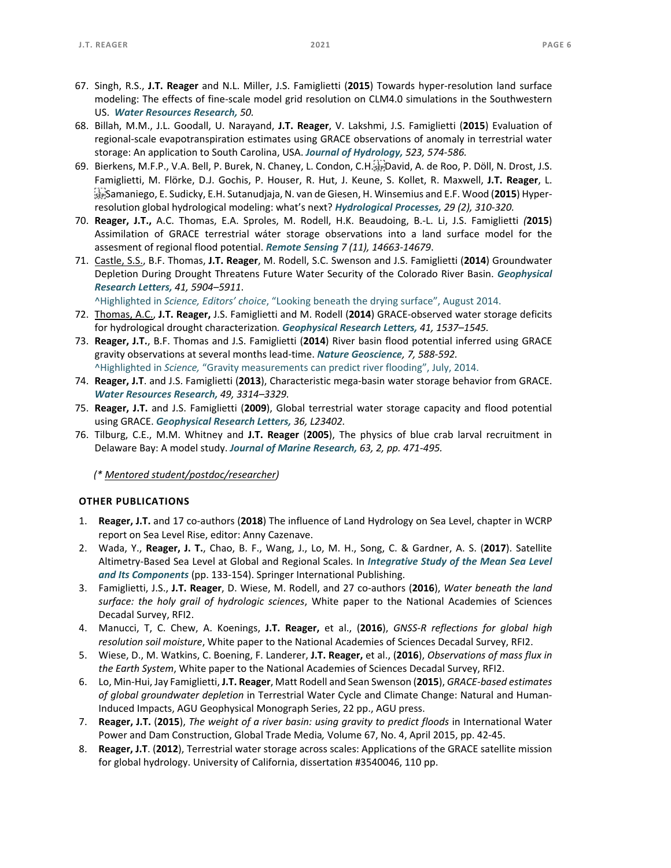- 67. Singh, R.S., **J.T. Reager** and N.L. Miller, J.S. Famiglietti (**2015**) Towards hyper‐resolution land surface modeling: The effects of fine‐scale model grid resolution on CLM4.0 simulations in the Southwestern US. *Water Resources Research, 50.*
- 68. Billah, M.M., J.L. Goodall, U. Narayand, **J.T. Reager**, V. Lakshmi, J.S. Famiglietti (**2015**) Evaluation of regional‐scale evapotranspiration estimates using GRACE observations of anomaly in terrestrial water storage: An application to South Carolina, USA. *Journal of Hydrology, 523, 574‐586.*
- 69. Bierkens, M.F.P., V.A. Bell, P. Burek, N. Chaney, L. Condon, C.H. David, A. de Roo, P. Döll, N. Drost, J.S. Famiglietti, M. Flörke, D.J. Gochis, P. Houser, R. Hut, J. Keune, S. Kollet, R. Maxwell, **J.T. Reager**, L. Samaniego, E. Sudicky, E.H. Sutanudjaja, N. van de Giesen, H. Winsemius and E.F. Wood (**2015**) Hyper‐ resolution global hydrological modeling: what's next? *Hydrological Processes, 29 (2), 310‐320.*
- 70. **Reager, J.T.,** A.C. Thomas, E.A. Sproles, M. Rodell, H.K. Beaudoing, B.‐L. Li, J.S. Famiglietti *(***2015**) Assimilation of GRACE terrestrial wáter storage observations into a land surface model for the assesment of regional flood potential. *Remote Sensing 7 (11), 14663‐14679*.
- 71. Castle, S.S., B.F. Thomas, **J.T. Reager**, M. Rodell, S.C. Swenson and J.S. Famiglietti (**2014**) Groundwater Depletion During Drought Threatens Future Water Security of the Colorado River Basin. *Geophysical Research Letters, 41, 5904–5911*.

^Highlighted in *Science, Editors' choice*, "Looking beneath the drying surface", August 2014.

- 72. Thomas, A.C., **J.T. Reager,** J.S. Famiglietti and M. Rodell (**2014**) GRACE‐observed water storage deficits for hydrological drought characterization*. Geophysical Research Letters, 41, 1537–1545.*
- 73. **Reager, J.T.**, B.F. Thomas and J.S. Famiglietti (**2014**) River basin flood potential inferred using GRACE gravity observations at several months lead‐time. *Nature Geoscience, 7, 588‐592.*  ^Highlighted in *Science,* "Gravity measurements can predict river flooding", July, 2014.
- 74. **Reager, J.T**. and J.S. Famiglietti (**2013**), Characteristic mega‐basin water storage behavior from GRACE. *Water Resources Research, 49, 3314–3329.*
- 75. **Reager, J.T.** and J.S. Famiglietti (**2009**), Global terrestrial water storage capacity and flood potential using GRACE. *Geophysical Research Letters, 36, L23402.*
- 76. Tilburg, C.E., M.M. Whitney and **J.T. Reager** (**2005**), The physics of blue crab larval recruitment in Delaware Bay: A model study. *Journal of Marine Research, 63, 2, pp. 471‐495.*

*(\* Mentored student/postdoc/researcher)* 

#### **OTHER PUBLICATIONS**

- 1. **Reager, J.T.** and 17 co‐authors (**2018**) The influence of Land Hydrology on Sea Level, chapter in WCRP report on Sea Level Rise, editor: Anny Cazenave.
- 2. Wada, Y., **Reager, J. T.**, Chao, B. F., Wang, J., Lo, M. H., Song, C. & Gardner, A. S. (**2017**). Satellite Altimetry‐Based Sea Level at Global and Regional Scales. In *Integrative Study of the Mean Sea Level and Its Components* (pp. 133‐154). Springer International Publishing.
- 3. Famiglietti, J.S., **J.T. Reager**, D. Wiese, M. Rodell, and 27 co‐authors (**2016**), *Water beneath the land surface: the holy grail of hydrologic sciences*, White paper to the National Academies of Sciences Decadal Survey, RFI2.
- 4. Manucci, T, C. Chew, A. Koenings, **J.T. Reager,** et al., (**2016**), *GNSS‐R reflections for global high resolution soil moisture*, White paper to the National Academies of Sciences Decadal Survey, RFI2.
- 5. Wiese, D., M. Watkins, C. Boening, F. Landerer, **J.T. Reager,** et al., (**2016**), *Observations of mass flux in the Earth System*, White paper to the National Academies of Sciences Decadal Survey, RFI2.
- 6. Lo, Min‐Hui, Jay Famiglietti, **J.T. Reager**, Matt Rodell and Sean Swenson (**2015**), *GRACE‐based estimates of global groundwater depletion* in Terrestrial Water Cycle and Climate Change: Natural and Human‐ Induced Impacts, AGU Geophysical Monograph Series, 22 pp., AGU press.
- 7. **Reager, J.T.** (**2015**), *The weight of a river basin: using gravity to predict floods* in International Water Power and Dam Construction, Global Trade Media*,* Volume 67, No. 4, April 2015, pp. 42‐45.
- 8. **Reager, J.T**. (**2012**), Terrestrial water storage across scales: Applications of the GRACE satellite mission for global hydrology. University of California, dissertation #3540046, 110 pp.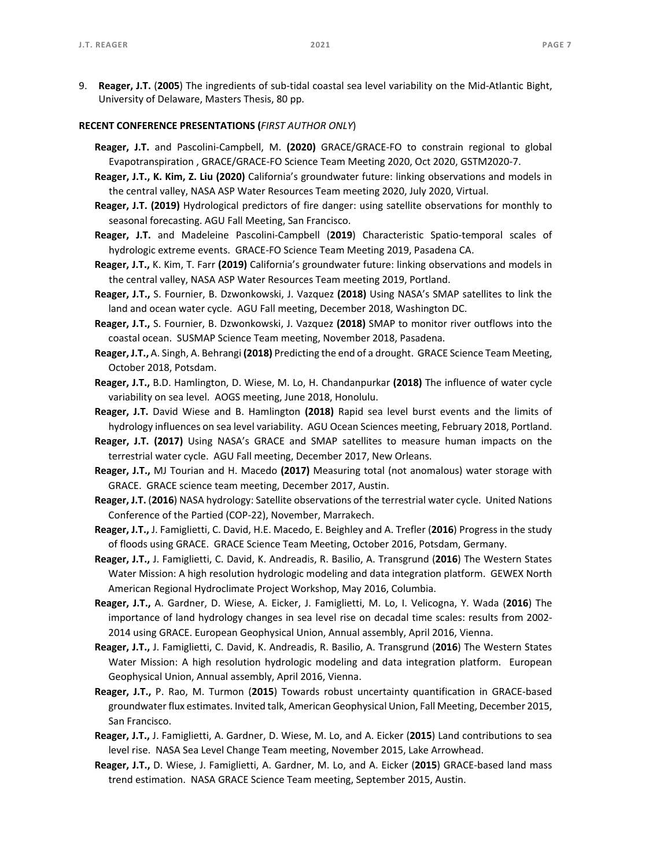9. **Reager, J.T.** (**2005**) The ingredients of sub‐tidal coastal sea level variability on the Mid‐Atlantic Bight, University of Delaware, Masters Thesis, 80 pp.

# **RECENT CONFERENCE PRESENTATIONS (***FIRST AUTHOR ONLY*)

- **Reager, J.T.**  and Pascolini‐Campbell, M. **(2020)** GRACE/GRACE‐FO to constrain regional to global Evapotranspiration , GRACE/GRACE‐FO Science Team Meeting 2020, Oct 2020, GSTM2020‐7.
- **Reager, J.T., K. Kim, Z. Liu (2020)** California's groundwater future: linking observations and models in the central valley, NASA ASP Water Resources Team meeting 2020, July 2020, Virtual.
- **Reager, J.T. (2019)** Hydrological predictors of fire danger: using satellite observations for monthly to seasonal forecasting. AGU Fall Meeting, San Francisco.
- **Reager, J.T.**  and Madeleine Pascolini‐Campbell (**2019**) Characteristic Spatio‐temporal scales of hydrologic extreme events. GRACE‐FO Science Team Meeting 2019, Pasadena CA.
- **Reager, J.T.,** K. Kim, T. Farr **(2019)** California's groundwater future: linking observations and models in the central valley, NASA ASP Water Resources Team meeting 2019, Portland.
- **Reager, J.T.,** S. Fournier, B. Dzwonkowski, J. Vazquez **(2018)** Using NASA's SMAP satellites to link the land and ocean water cycle. AGU Fall meeting, December 2018, Washington DC.
- **Reager, J.T.,** S. Fournier, B. Dzwonkowski, J. Vazquez **(2018)** SMAP to monitor river outflows into the coastal ocean. SUSMAP Science Team meeting, November 2018, Pasadena.
- **Reager, J.T.,** A. Singh, A. Behrangi **(2018)** Predicting the end of a drought. GRACE Science Team Meeting, October 2018, Potsdam.
- **Reager, J.T.,** B.D. Hamlington, D. Wiese, M. Lo, H. Chandanpurkar **(2018)** The influence of water cycle variability on sea level. AOGS meeting, June 2018, Honolulu.
- **Reager, J.T.**  David Wiese and B. Hamlington **(2018)**  Rapid sea level burst events and the limits of hydrology influences on sea level variability. AGU Ocean Sciences meeting, February 2018, Portland.
- **Reager, J.T. (2017)** Using NASA's GRACE and SMAP satellites to measure human impacts on the terrestrial water cycle. AGU Fall meeting, December 2017, New Orleans.
- **Reager, J.T.,** MJ Tourian and H. Macedo **(2017)** Measuring total (not anomalous) water storage with GRACE. GRACE science team meeting, December 2017, Austin.
- **Reager, J.T.** (**2016**) NASA hydrology: Satellite observations of the terrestrial water cycle. United Nations Conference of the Partied (COP‐22), November, Marrakech.
- **Reager, J.T.,** J. Famiglietti, C. David, H.E. Macedo, E. Beighley and A. Trefler (**2016**) Progress in the study of floods using GRACE. GRACE Science Team Meeting, October 2016, Potsdam, Germany.
- **Reager, J.T.,** J. Famiglietti, C. David, K. Andreadis, R. Basilio, A. Transgrund (**2016**) The Western States Water Mission: A high resolution hydrologic modeling and data integration platform. GEWEX North American Regional Hydroclimate Project Workshop, May 2016, Columbia.
- **Reager, J.T.,** A. Gardner, D. Wiese, A. Eicker, J. Famiglietti, M. Lo, I. Velicogna, Y. Wada (**2016**) The importance of land hydrology changes in sea level rise on decadal time scales: results from 2002‐ 2014 using GRACE. European Geophysical Union, Annual assembly, April 2016, Vienna.
- **Reager, J.T.,** J. Famiglietti, C. David, K. Andreadis, R. Basilio, A. Transgrund (**2016**) The Western States Water Mission: A high resolution hydrologic modeling and data integration platform. European Geophysical Union, Annual assembly, April 2016, Vienna.
- Reager, J.T., P. Rao, M. Turmon (2015) Towards robust uncertainty quantification in GRACE-based groundwater flux estimates. Invited talk, American Geophysical Union, Fall Meeting, December 2015, San Francisco.
- **Reager, J.T.,** J. Famiglietti, A. Gardner, D. Wiese, M. Lo, and A. Eicker (**2015**) Land contributions to sea level rise. NASA Sea Level Change Team meeting, November 2015, Lake Arrowhead.
- **Reager, J.T.,** D. Wiese, J. Famiglietti, A. Gardner, M. Lo, and A. Eicker (**2015**) GRACE‐based land mass trend estimation. NASA GRACE Science Team meeting, September 2015, Austin.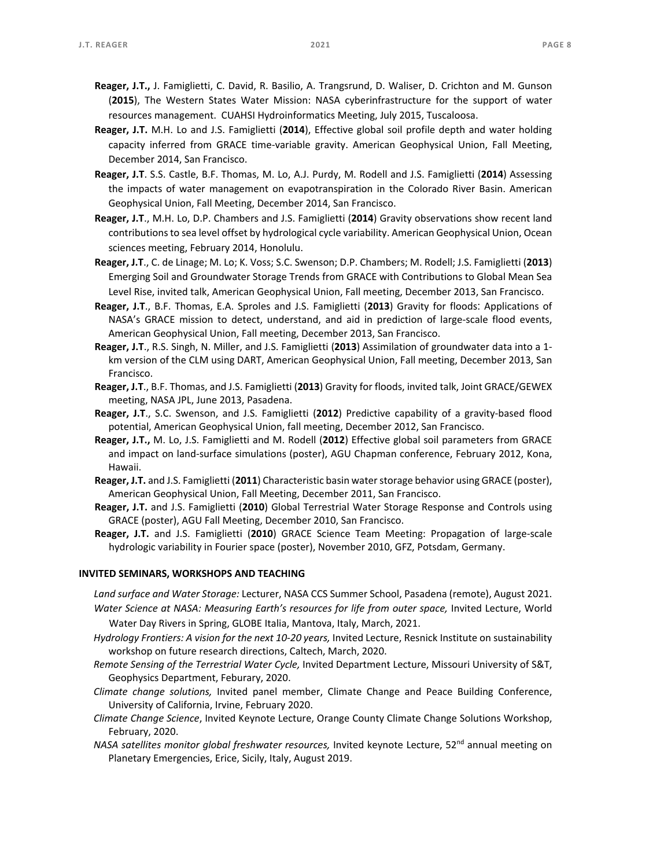- **Reager, J.T.,** J. Famiglietti, C. David, R. Basilio, A. Trangsrund, D. Waliser, D. Crichton and M. Gunson (**2015**), The Western States Water Mission: NASA cyberinfrastructure for the support of water resources management. CUAHSI Hydroinformatics Meeting, July 2015, Tuscaloosa.
- **Reager, J.T.** M.H. Lo and J.S. Famiglietti (**2014**), Effective global soil profile depth and water holding capacity inferred from GRACE time-variable gravity. American Geophysical Union, Fall Meeting, December 2014, San Francisco.
- **Reager, J.T**. S.S. Castle, B.F. Thomas, M. Lo, A.J. Purdy, M. Rodell and J.S. Famiglietti (**2014**) Assessing the impacts of water management on evapotranspiration in the Colorado River Basin. American Geophysical Union, Fall Meeting, December 2014, San Francisco.
- **Reager, J.T**., M.H. Lo, D.P. Chambers and J.S. Famiglietti (**2014**) Gravity observations show recent land contributions to sea level offset by hydrological cycle variability. American Geophysical Union, Ocean sciences meeting, February 2014, Honolulu.
- **Reager, J.T**., C. de Linage; M. Lo; K. Voss; S.C. Swenson; D.P. Chambers; M. Rodell; J.S. Famiglietti (**2013**) Emerging Soil and Groundwater Storage Trends from GRACE with Contributions to Global Mean Sea Level Rise, invited talk, American Geophysical Union, Fall meeting, December 2013, San Francisco.
- **Reager, J.T**., B.F. Thomas, E.A. Sproles and J.S. Famiglietti (**2013**) Gravity for floods: Applications of NASA's GRACE mission to detect, understand, and aid in prediction of large-scale flood events, American Geophysical Union, Fall meeting, December 2013, San Francisco.
- **Reager, J.T**., R.S. Singh, N. Miller, and J.S. Famiglietti (**2013**) Assimilation of groundwater data into a 1‐ km version of the CLM using DART, American Geophysical Union, Fall meeting, December 2013, San Francisco.
- **Reager, J.T**., B.F. Thomas, and J.S. Famiglietti (**2013**) Gravity for floods, invited talk, Joint GRACE/GEWEX meeting, NASA JPL, June 2013, Pasadena.
- **Reager, J.T**., S.C. Swenson, and J.S. Famiglietti (**2012**) Predictive capability of a gravity‐based flood potential, American Geophysical Union, fall meeting, December 2012, San Francisco.
- **Reager, J.T.,** M. Lo, J.S. Famiglietti and M. Rodell (**2012**) Effective global soil parameters from GRACE and impact on land‐surface simulations (poster), AGU Chapman conference, February 2012, Kona, Hawaii.
- **Reager, J.T.** and J.S. Famiglietti (**2011**) Characteristic basin water storage behavior using GRACE (poster), American Geophysical Union, Fall Meeting, December 2011, San Francisco.
- **Reager, J.T.** and J.S. Famiglietti (**2010**) Global Terrestrial Water Storage Response and Controls using GRACE (poster), AGU Fall Meeting, December 2010, San Francisco.
- **Reager, J.T.** and J.S. Famiglietti (**2010**) GRACE Science Team Meeting: Propagation of large‐scale hydrologic variability in Fourier space (poster), November 2010, GFZ, Potsdam, Germany.

### **INVITED SEMINARS, WORKSHOPS AND TEACHING**

*Land surface and Water Storage:* Lecturer, NASA CCS Summer School, Pasadena (remote), August 2021. Water Science at NASA: Measuring Earth's resources for life from outer space, Invited Lecture, World

Water Day Rivers in Spring, GLOBE Italia, Mantova, Italy, March, 2021.

- *Hydrology Frontiers: A vision for the next 10‐20 years,* Invited Lecture, Resnick Institute on sustainability workshop on future research directions, Caltech, March, 2020.
- *Remote Sensing of the Terrestrial Water Cycle,* Invited Department Lecture, Missouri University of S&T, Geophysics Department, Feburary, 2020.
- *Climate change solutions,*  Invited panel member, Climate Change and Peace Building Conference, University of California, Irvine, February 2020.
- *Climate Change Science*, Invited Keynote Lecture, Orange County Climate Change Solutions Workshop, February, 2020.
- NASA satellites monitor global freshwater resources, Invited keynote Lecture, 52<sup>nd</sup> annual meeting on Planetary Emergencies, Erice, Sicily, Italy, August 2019.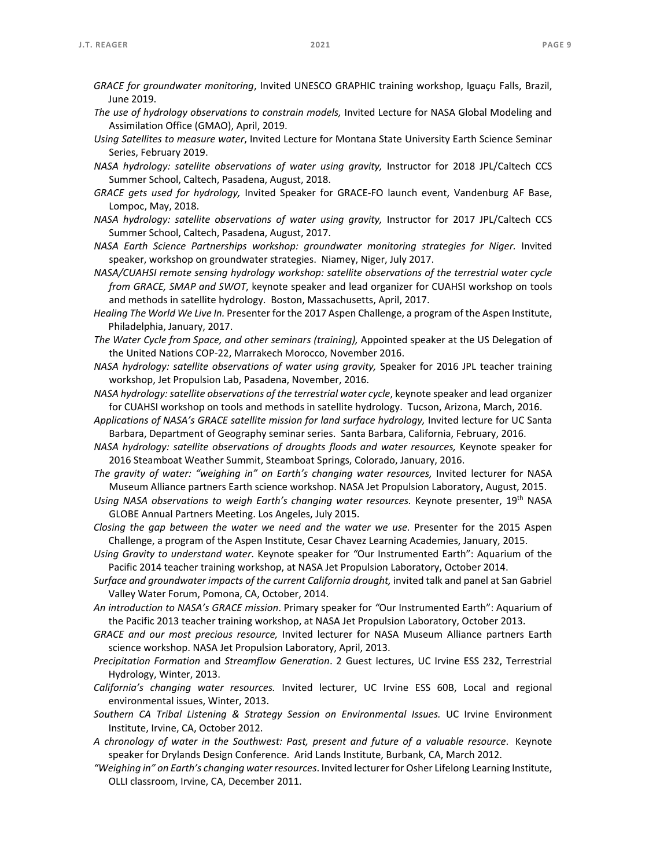- *GRACE for groundwater monitoring*, Invited UNESCO GRAPHIC training workshop, Iguaçu Falls, Brazil, June 2019.
- *The use of hydrology observations to constrain models,* Invited Lecture for NASA Global Modeling and Assimilation Office (GMAO), April, 2019.
- *Using Satellites to measure water*, Invited Lecture for Montana State University Earth Science Seminar Series, February 2019.
- *NASA hydrology: satellite observations of water using gravity,*  Instructor for 2018 JPL/Caltech CCS Summer School, Caltech, Pasadena, August, 2018.
- *GRACE gets used for hydrology,*  Invited Speaker for GRACE‐FO launch event, Vandenburg AF Base, Lompoc, May, 2018.
- *NASA hydrology: satellite observations of water using gravity*, Instructor for 2017 JPL/Caltech CCS Summer School, Caltech, Pasadena, August, 2017.
- *NASA Earth Science Partnerships workshop: groundwater monitoring strategies for Niger.*  Invited speaker, workshop on groundwater strategies. Niamey, Niger, July 2017.
- *NASA/CUAHSI remote sensing hydrology workshop: satellite observations of the terrestrial water cycle from GRACE, SMAP and SWOT*, keynote speaker and lead organizer for CUAHSI workshop on tools and methods in satellite hydrology. Boston, Massachusetts, April, 2017.
- *Healing The World We Live In.* Presenter for the 2017 Aspen Challenge, a program of the Aspen Institute, Philadelphia, January, 2017.
- *The Water Cycle from Space, and other seminars (training),* Appointed speaker at the US Delegation of the United Nations COP‐22, Marrakech Morocco, November 2016.
- *NASA hydrology: satellite observations of water using gravity*, Speaker for 2016 JPL teacher training workshop, Jet Propulsion Lab, Pasadena, November, 2016.
- *NASA hydrology: satellite observations of the terrestrial water cycle*, keynote speaker and lead organizer for CUAHSI workshop on tools and methods in satellite hydrology. Tucson, Arizona, March, 2016.
- Applications of NASA's GRACE satellite mission for land surface hydrology, Invited lecture for UC Santa Barbara, Department of Geography seminar series. Santa Barbara, California, February, 2016.
- *NASA hydrology: satellite observations of droughts floods and water resources,* Keynote speaker for 2016 Steamboat Weather Summit, Steamboat Springs, Colorado, January, 2016.
- *The gravity of water: "weighing in" on Earth's changing water resources,*  Invited lecturer for NASA Museum Alliance partners Earth science workshop. NASA Jet Propulsion Laboratory, August, 2015.
- *Using NASA observations to weigh Earth's changing water resources.*  Keynote presenter, 19th NASA GLOBE Annual Partners Meeting. Los Angeles, July 2015.
- *Closing the gap between the water we need and the water we use.* Presenter for the 2015 Aspen Challenge, a program of the Aspen Institute, Cesar Chavez Learning Academies, January, 2015.
- *Using Gravity to understand water*. Keynote speaker for *"*Our Instrumented Earth": Aquarium of the Pacific 2014 teacher training workshop, at NASA Jet Propulsion Laboratory, October 2014.
- *Surface and groundwater impacts of the current California drought,* invited talk and panel at San Gabriel Valley Water Forum, Pomona, CA, October, 2014.
- *An introduction to NASA's GRACE mission*. Primary speaker for *"*Our Instrumented Earth": Aquarium of the Pacific 2013 teacher training workshop, at NASA Jet Propulsion Laboratory, October 2013.
- *GRACE and our most precious resource,*  Invited lecturer for NASA Museum Alliance partners Earth science workshop. NASA Jet Propulsion Laboratory, April, 2013.
- *Precipitation Formation*  and *Streamflow Generation*. 2 Guest lectures, UC Irvine ESS 232, Terrestrial Hydrology, Winter, 2013.
- *California's changing water resources.*  Invited lecturer, UC Irvine ESS 60B, Local and regional environmental issues, Winter, 2013.
- *Southern CA Tribal Listening & Strategy Session on Environmental Issues.* UC Irvine Environment Institute, Irvine, CA, October 2012.
- *A chronology of water in the Southwest: Past, present and future of a valuable resource*. Keynote speaker for Drylands Design Conference. Arid Lands Institute, Burbank, CA, March 2012.
- *"Weighing in" on Earth's changing water resources*. Invited lecturer for Osher Lifelong Learning Institute, OLLI classroom, Irvine, CA, December 2011.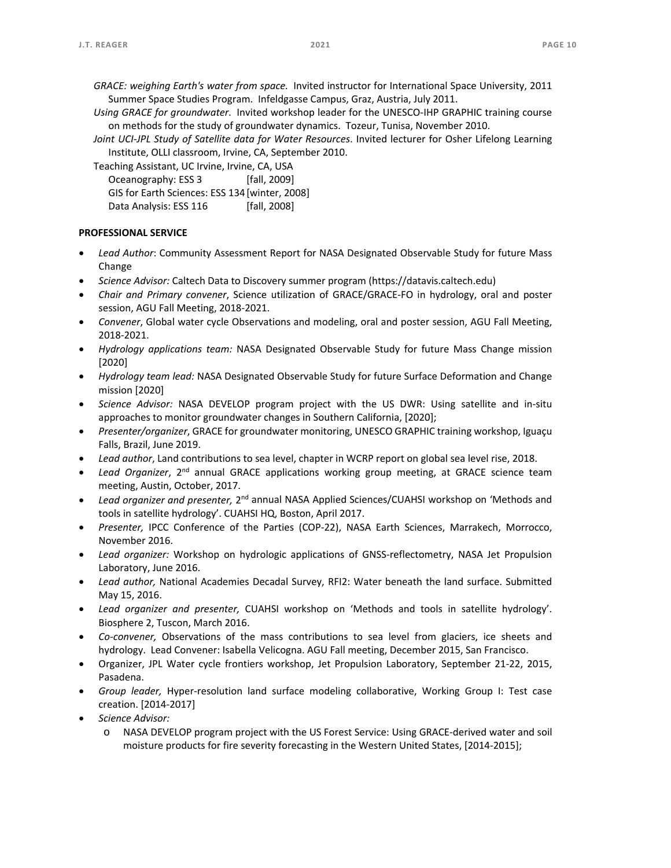- *GRACE: weighing Earth's water from space.* Invited instructor for International Space University, 2011 Summer Space Studies Program. Infeldgasse Campus, Graz, Austria, July 2011.
- *Using GRACE for groundwater*. Invited workshop leader for the UNESCO‐IHP GRAPHIC training course on methods for the study of groundwater dynamics. Tozeur, Tunisa, November 2010.
- *Joint UCI‐JPL Study of Satellite data for Water Resources*. Invited lecturer for Osher Lifelong Learning Institute, OLLI classroom, Irvine, CA, September 2010.

Teaching Assistant, UC Irvine, Irvine, CA, USA Oceanography: ESS 3 [fall, 2009]

| GIS for Earth Sciences: ESS 134 [winter, 2008] |  |  |              |  |
|------------------------------------------------|--|--|--------------|--|
| Data Analysis: ESS 116                         |  |  | [fall, 2008] |  |

### **PROFESSIONAL SERVICE**

- *Lead Author*: Community Assessment Report for NASA Designated Observable Study for future Mass Change
- *Science Advisor:* Caltech Data to Discovery summer program (https://datavis.caltech.edu)
- *Chair and Primary convener*, Science utilization of GRACE/GRACE‐FO in hydrology, oral and poster session, AGU Fall Meeting, 2018‐2021.
- *Convener*, Global water cycle Observations and modeling, oral and poster session, AGU Fall Meeting, 2018‐2021.
- *Hydrology applications team:*  NASA Designated Observable Study for future Mass Change mission [2020]
- *Hydrology team lead:* NASA Designated Observable Study for future Surface Deformation and Change mission [2020]
- *Science Advisor:*  NASA DEVELOP program project with the US DWR: Using satellite and in‐situ approaches to monitor groundwater changes in Southern California, [2020];
- *Presenter/organizer*, GRACE for groundwater monitoring, UNESCO GRAPHIC training workshop, Iguaçu Falls, Brazil, June 2019.
- *Lead author*, Land contributions to sea level, chapter in WCRP report on global sea level rise, 2018.
- Lead Organizer, 2<sup>nd</sup> annual GRACE applications working group meeting, at GRACE science team meeting, Austin, October, 2017.
- *Lead organizer and presenter,* 2nd annual NASA Applied Sciences/CUAHSI workshop on 'Methods and tools in satellite hydrology'. CUAHSI HQ, Boston, April 2017.
- *Presenter,*  IPCC Conference of the Parties (COP‐22), NASA Earth Sciences, Marrakech, Morrocco, November 2016.
- Lead organizer: Workshop on hydrologic applications of GNSS-reflectometry, NASA Jet Propulsion Laboratory, June 2016.
- *Lead author,* National Academies Decadal Survey, RFI2: Water beneath the land surface. Submitted May 15, 2016.
- *Lead organizer and presenter,*  CUAHSI workshop on 'Methods and tools in satellite hydrology'. Biosphere 2, Tuscon, March 2016.
- *Co‐convener,*  Observations of the mass contributions to sea level from glaciers, ice sheets and hydrology. Lead Convener: Isabella Velicogna. AGU Fall meeting, December 2015, San Francisco.
- Organizer, JPL Water cycle frontiers workshop, Jet Propulsion Laboratory, September 21‐22, 2015, Pasadena.
- *Group leader,* Hyper-resolution land surface modeling collaborative, Working Group I: Test case creation. [2014‐2017]
- *Science Advisor:* 
	- o NASA DEVELOP program project with the US Forest Service: Using GRACE‐derived water and soil moisture products for fire severity forecasting in the Western United States, [2014‐2015];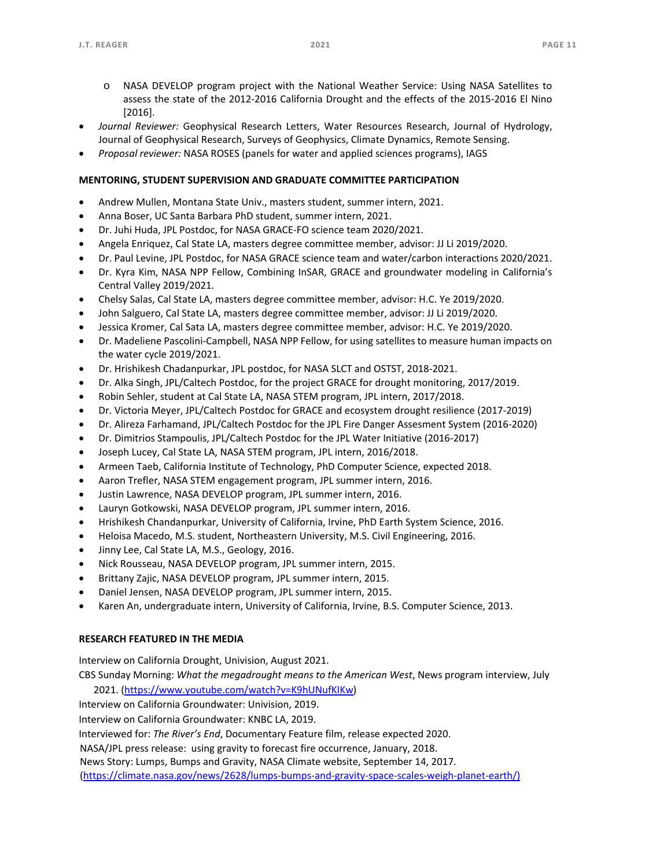- o NASA DEVELOP program project with the National Weather Service: Using NASA Satellites to assess the state of the 2012‐2016 California Drought and the effects of the 2015‐2016 El Nino [2016].
- *Journal Reviewer:*  Geophysical Research Letters, Water Resources Research, Journal of Hydrology, Journal of Geophysical Research, Surveys of Geophysics, Climate Dynamics, Remote Sensing.
- *Proposal reviewer:* NASA ROSES (panels for water and applied sciences programs), IAGS

# **MENTORING, STUDENT SUPERVISION AND GRADUATE COMMITTEE PARTICIPATION**

- Andrew Mullen, Montana State Univ., masters student, summer intern, 2021.
- Anna Boser, UC Santa Barbara PhD student, summer intern, 2021.
- Dr. Juhi Huda, JPL Postdoc, for NASA GRACE‐FO science team 2020/2021.
- Angela Enriquez, Cal State LA, masters degree committee member, advisor: JJ Li 2019/2020.
- Dr. Paul Levine, JPL Postdoc, for NASA GRACE science team and water/carbon interactions 2020/2021.
- Dr. Kyra Kim, NASA NPP Fellow, Combining InSAR, GRACE and groundwater modeling in California's Central Valley 2019/2021.
- Chelsy Salas, Cal State LA, masters degree committee member, advisor: H.C. Ye 2019/2020.
- John Salguero, Cal State LA, masters degree committee member, advisor: JJ Li 2019/2020.
- Jessica Kromer, Cal Sata LA, masters degree committee member, advisor: H.C. Ye 2019/2020.
- Dr. Madeliene Pascolini‐Campbell, NASA NPP Fellow, for using satellites to measure human impacts on the water cycle 2019/2021.
- Dr. Hrishikesh Chadanpurkar, JPL postdoc, for NASA SLCT and OSTST, 2018‐2021.
- Dr. Alka Singh, JPL/Caltech Postdoc, for the project GRACE for drought monitoring, 2017/2019.
- Robin Sehler, student at Cal State LA, NASA STEM program, JPL intern, 2017/2018.
- Dr. Victoria Meyer, JPL/Caltech Postdoc for GRACE and ecosystem drought resilience (2017‐2019)
- Dr. Alireza Farhamand, JPL/Caltech Postdoc for the JPL Fire Danger Assesment System (2016‐2020)
- Dr. Dimitrios Stampoulis, JPL/Caltech Postdoc for the JPL Water Initiative (2016‐2017)
- Joseph Lucey, Cal State LA, NASA STEM program, JPL intern, 2016/2018.
- Armeen Taeb, California Institute of Technology, PhD Computer Science, expected 2018.
- Aaron Trefler, NASA STEM engagement program, JPL summer intern, 2016.
- Justin Lawrence, NASA DEVELOP program, JPL summer intern, 2016.
- Lauryn Gotkowski, NASA DEVELOP program, JPL summer intern, 2016.
- Hrishikesh Chandanpurkar, University of California, Irvine, PhD Earth System Science, 2016.
- Heloisa Macedo, M.S. student, Northeastern University, M.S. Civil Engineering, 2016.
- Jinny Lee, Cal State LA, M.S., Geology, 2016.
- Nick Rousseau, NASA DEVELOP program, JPL summer intern, 2015.
- Brittany Zajic, NASA DEVELOP program, JPL summer intern, 2015.
- Daniel Jensen, NASA DEVELOP program, JPL summer intern, 2015.
- Karen An, undergraduate intern, University of California, Irvine, B.S. Computer Science, 2013.

# **RESEARCH FEATURED IN THE MEDIA**

Interview on California Drought, Univision, August 2021.

CBS Sunday Morning: *What the megadrought means to the American West*, News program interview, July 2021. (https://www.youtube.com/watch?v=K9hUNufKIKw)

Interview on California Groundwater: Univision, 2019.

Interview on California Groundwater: KNBC LA, 2019.

Interviewed for: *The River's End*, Documentary Feature film, release expected 2020.

NASA/JPL press release: using gravity to forecast fire occurrence, January, 2018.

News Story: Lumps, Bumps and Gravity, NASA Climate website, September 14, 2017.

(https://climate.nasa.gov/news/2628/lumps‐bumps‐and‐gravity‐space‐scales‐weigh‐planet‐earth/)